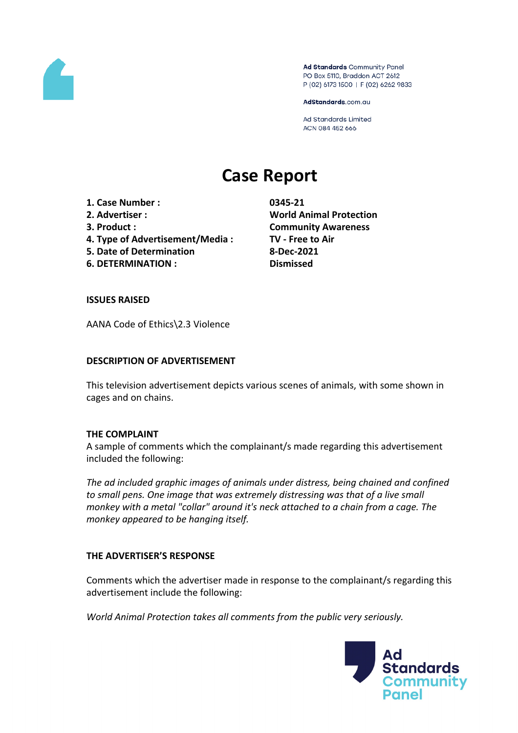

Ad Standards Community Panel PO Box 5110, Braddon ACT 2612 P (02) 6173 1500 | F (02) 6262 9833

AdStandards.com.au

Ad Standards Limited ACN 084 452 666

# **Case Report**

**1. Case Number : 0345-21**

- 
- 
- **4. Type of Advertisement/Media : TV - Free to Air**
- **5. Date of Determination 8-Dec-2021**

**6. DETERMINATION : Dismissed**

**2. Advertiser : World Animal Protection 3. Product : Community Awareness**

# **ISSUES RAISED**

AANA Code of Ethics\2.3 Violence

# **DESCRIPTION OF ADVERTISEMENT**

This television advertisement depicts various scenes of animals, with some shown in cages and on chains.

# **THE COMPLAINT**

A sample of comments which the complainant/s made regarding this advertisement included the following:

*The ad included graphic images of animals under distress, being chained and confined to small pens. One image that was extremely distressing was that of a live small monkey with a metal "collar" around it's neck attached to a chain from a cage. The monkey appeared to be hanging itself.*

## **THE ADVERTISER'S RESPONSE**

Comments which the advertiser made in response to the complainant/s regarding this advertisement include the following:

*World Animal Protection takes all comments from the public very seriously.*

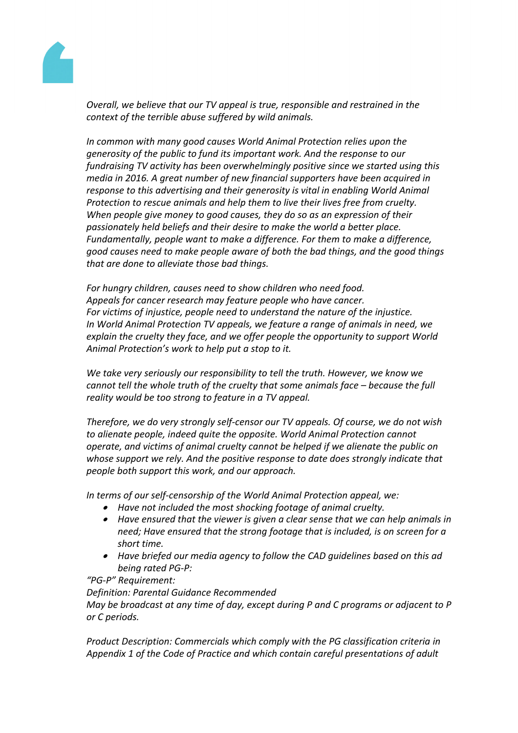

*Overall, we believe that our TV appeal is true, responsible and restrained in the context of the terrible abuse suffered by wild animals.*

*In common with many good causes World Animal Protection relies upon the generosity of the public to fund its important work. And the response to our fundraising TV activity has been overwhelmingly positive since we started using this media in 2016. A great number of new financial supporters have been acquired in response to this advertising and their generosity is vital in enabling World Animal Protection to rescue animals and help them to live their lives free from cruelty. When people give money to good causes, they do so as an expression of their passionately held beliefs and their desire to make the world a better place. Fundamentally, people want to make a difference. For them to make a difference, good causes need to make people aware of both the bad things, and the good things that are done to alleviate those bad things.*

*For hungry children, causes need to show children who need food. Appeals for cancer research may feature people who have cancer. For victims of injustice, people need to understand the nature of the injustice. In World Animal Protection TV appeals, we feature a range of animals in need, we explain the cruelty they face, and we offer people the opportunity to support World Animal Protection's work to help put a stop to it.*

*We take very seriously our responsibility to tell the truth. However, we know we cannot tell the whole truth of the cruelty that some animals face – because the full reality would be too strong to feature in a TV appeal.*

*Therefore, we do very strongly self-censor our TV appeals. Of course, we do not wish to alienate people, indeed quite the opposite. World Animal Protection cannot operate, and victims of animal cruelty cannot be helped if we alienate the public on whose support we rely. And the positive response to date does strongly indicate that people both support this work, and our approach.*

*In terms of our self-censorship of the World Animal Protection appeal, we:*

- *Have not included the most shocking footage of animal cruelty.*
- *Have ensured that the viewer is given a clear sense that we can help animals in need; Have ensured that the strong footage that is included, is on screen for a short time.*
- *Have briefed our media agency to follow the CAD guidelines based on this ad being rated PG-P:*

*"PG-P" Requirement:*

*Definition: Parental Guidance Recommended May be broadcast at any time of day, except during P and C programs or adjacent to P or C periods.*

*Product Description: Commercials which comply with the PG classification criteria in Appendix 1 of the Code of Practice and which contain careful presentations of adult*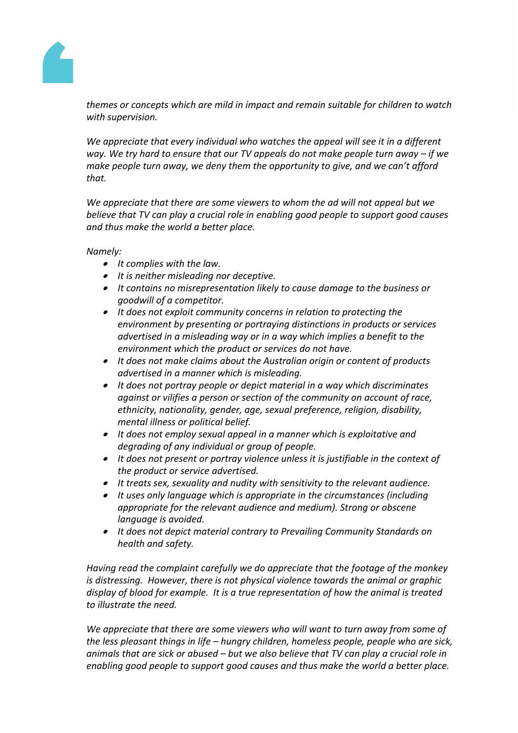

*themes or concepts which are mild in impact and remain suitable for children to watch with supervision.*

*We appreciate that every individual who watches the appeal will see it in a different way. We try hard to ensure that our TV appeals do not make people turn away – if we make people turn away, we deny them the opportunity to give, and we can't afford that.*

*We appreciate that there are some viewers to whom the ad will not appeal but we believe that TV can play a crucial role in enabling good people to support good causes and thus make the world a better place.* 

*Namely:*

- *It complies with the law.*
- *It is neither misleading nor deceptive.*
- *It contains no misrepresentation likely to cause damage to the business or goodwill of a competitor.*
- *It does not exploit community concerns in relation to protecting the environment by presenting or portraying distinctions in products or services advertised in a misleading way or in a way which implies a benefit to the environment which the product or services do not have.*
- *It does not make claims about the Australian origin or content of products advertised in a manner which is misleading.*
- *It does not portray people or depict material in a way which discriminates against or vilifies a person or section of the community on account of race, ethnicity, nationality, gender, age, sexual preference, religion, disability, mental illness or political belief.*
- *It does not employ sexual appeal in a manner which is exploitative and degrading of any individual or group of people.*
- *It does not present or portray violence unless it is justifiable in the context of the product or service advertised.*
- *It treats sex, sexuality and nudity with sensitivity to the relevant audience.*
- *It uses only language which is appropriate in the circumstances (including appropriate for the relevant audience and medium). Strong or obscene language is avoided.*
- *It does not depict material contrary to Prevailing Community Standards on health and safety.*

*Having read the complaint carefully we do appreciate that the footage of the monkey is distressing. However, there is not physical violence towards the animal or graphic display of blood for example. It is a true representation of how the animal is treated to illustrate the need.*

*We appreciate that there are some viewers who will want to turn away from some of the less pleasant things in life – hungry children, homeless people, people who are sick, animals that are sick or abused – but we also believe that TV can play a crucial role in enabling good people to support good causes and thus make the world a better place.*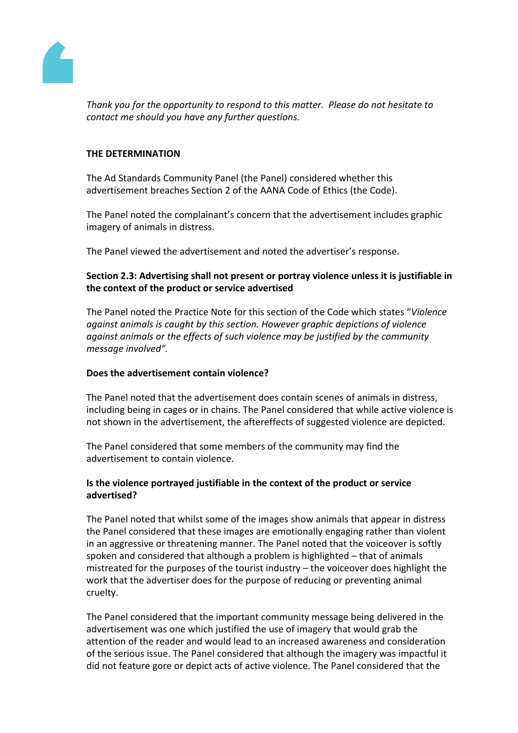

*Thank you for the opportunity to respond to this matter. Please do not hesitate to contact me should you have any further questions.*

# **THE DETERMINATION**

The Ad Standards Community Panel (the Panel) considered whether this advertisement breaches Section 2 of the AANA Code of Ethics (the Code).

The Panel noted the complainant's concern that the advertisement includes graphic imagery of animals in distress.

The Panel viewed the advertisement and noted the advertiser's response.

# **Section 2.3: Advertising shall not present or portray violence unless it is justifiable in the context of the product or service advertised**

The Panel noted the Practice Note for this section of the Code which states "*Violence against animals is caught by this section. However graphic depictions of violence against animals or the effects of such violence may be justified by the community message involved".*

## **Does the advertisement contain violence?**

The Panel noted that the advertisement does contain scenes of animals in distress, including being in cages or in chains. The Panel considered that while active violence is not shown in the advertisement, the aftereffects of suggested violence are depicted.

The Panel considered that some members of the community may find the advertisement to contain violence.

# **Is the violence portrayed justifiable in the context of the product or service advertised?**

The Panel noted that whilst some of the images show animals that appear in distress the Panel considered that these images are emotionally engaging rather than violent in an aggressive or threatening manner. The Panel noted that the voiceover is softly spoken and considered that although a problem is highlighted – that of animals mistreated for the purposes of the tourist industry – the voiceover does highlight the work that the advertiser does for the purpose of reducing or preventing animal cruelty.

The Panel considered that the important community message being delivered in the advertisement was one which justified the use of imagery that would grab the attention of the reader and would lead to an increased awareness and consideration of the serious issue. The Panel considered that although the imagery was impactful it did not feature gore or depict acts of active violence. The Panel considered that the